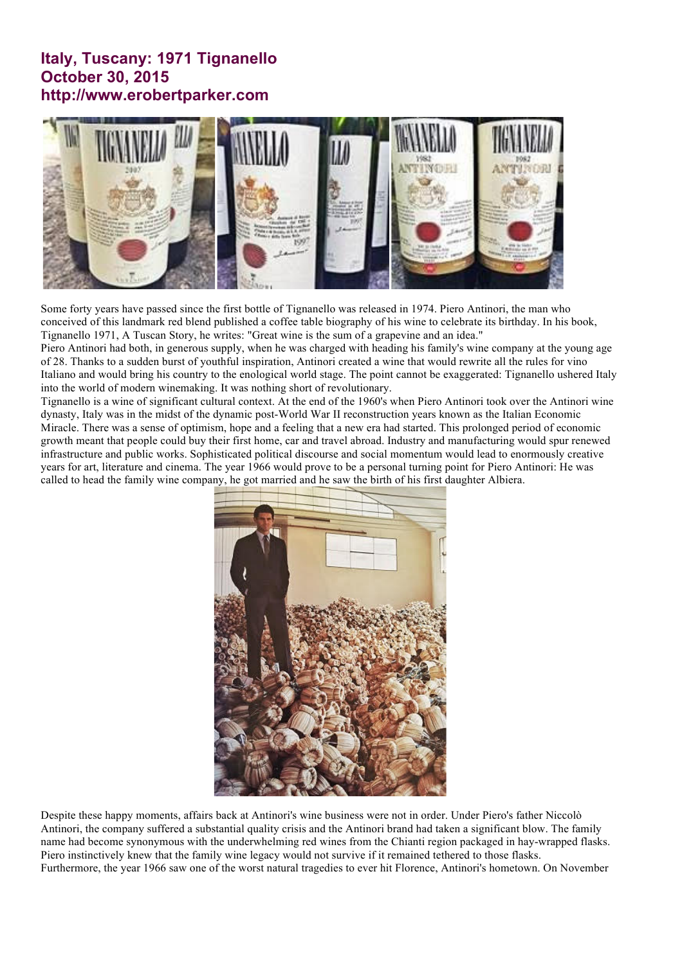## **Italy, Tuscany: 1971 Tignanello October 30, 2015 http://www.erobertparker.com**



Some forty years have passed since the first bottle of Tignanello was released in 1974. Piero Antinori, the man who conceived of this landmark red blend published a coffee table biography of his wine to celebrate its birthday. In his book, Tignanello 1971, A Tuscan Story, he writes: "Great wine is the sum of a grapevine and an idea."

Piero Antinori had both, in generous supply, when he was charged with heading his family's wine company at the young age of 28. Thanks to a sudden burst of youthful inspiration, Antinori created a wine that would rewrite all the rules for vino Italiano and would bring his country to the enological world stage. The point cannot be exaggerated: Tignanello ushered Italy into the world of modern winemaking. It was nothing short of revolutionary.

Tignanello is a wine of significant cultural context. At the end of the 1960's when Piero Antinori took over the Antinori wine dynasty, Italy was in the midst of the dynamic post-World War II reconstruction years known as the Italian Economic Miracle. There was a sense of optimism, hope and a feeling that a new era had started. This prolonged period of economic growth meant that people could buy their first home, car and travel abroad. Industry and manufacturing would spur renewed infrastructure and public works. Sophisticated political discourse and social momentum would lead to enormously creative years for art, literature and cinema. The year 1966 would prove to be a personal turning point for Piero Antinori: He was called to head the family wine company, he got married and he saw the birth of his first daughter Albiera.



Despite these happy moments, affairs back at Antinori's wine business were not in order. Under Piero's father Niccolò Antinori, the company suffered a substantial quality crisis and the Antinori brand had taken a significant blow. The family name had become synonymous with the underwhelming red wines from the Chianti region packaged in hay-wrapped flasks. Piero instinctively knew that the family wine legacy would not survive if it remained tethered to those flasks. Furthermore, the year 1966 saw one of the worst natural tragedies to ever hit Florence, Antinori's hometown. On November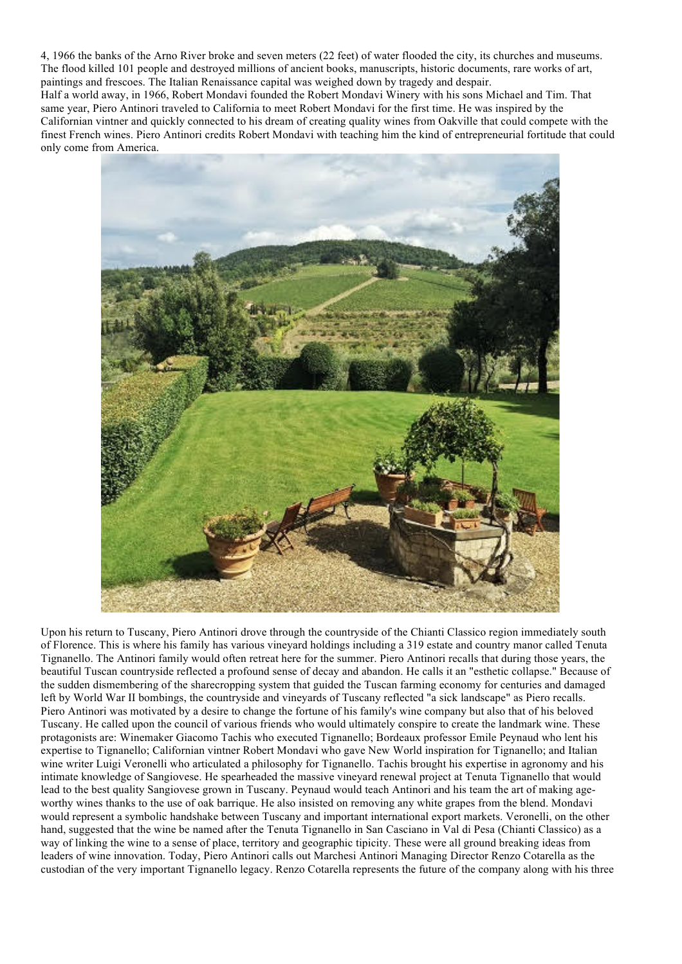4, 1966 the banks of the Arno River broke and seven meters (22 feet) of water flooded the city, its churches and museums. The flood killed 101 people and destroyed millions of ancient books, manuscripts, historic documents, rare works of art, paintings and frescoes. The Italian Renaissance capital was weighed down by tragedy and despair. Half a world away, in 1966, Robert Mondavi founded the Robert Mondavi Winery with his sons Michael and Tim. That same year, Piero Antinori traveled to California to meet Robert Mondavi for the first time. He was inspired by the Californian vintner and quickly connected to his dream of creating quality wines from Oakville that could compete with the finest French wines. Piero Antinori credits Robert Mondavi with teaching him the kind of entrepreneurial fortitude that could only come from America.



Upon his return to Tuscany, Piero Antinori drove through the countryside of the Chianti Classico region immediately south of Florence. This is where his family has various vineyard holdings including a 319 estate and country manor called Tenuta Tignanello. The Antinori family would often retreat here for the summer. Piero Antinori recalls that during those years, the beautiful Tuscan countryside reflected a profound sense of decay and abandon. He calls it an "esthetic collapse." Because of the sudden dismembering of the sharecropping system that guided the Tuscan farming economy for centuries and damaged left by World War II bombings, the countryside and vineyards of Tuscany reflected "a sick landscape" as Piero recalls. Piero Antinori was motivated by a desire to change the fortune of his family's wine company but also that of his beloved Tuscany. He called upon the council of various friends who would ultimately conspire to create the landmark wine. These protagonists are: Winemaker Giacomo Tachis who executed Tignanello; Bordeaux professor Emile Peynaud who lent his expertise to Tignanello; Californian vintner Robert Mondavi who gave New World inspiration for Tignanello; and Italian wine writer Luigi Veronelli who articulated a philosophy for Tignanello. Tachis brought his expertise in agronomy and his intimate knowledge of Sangiovese. He spearheaded the massive vineyard renewal project at Tenuta Tignanello that would lead to the best quality Sangiovese grown in Tuscany. Peynaud would teach Antinori and his team the art of making ageworthy wines thanks to the use of oak barrique. He also insisted on removing any white grapes from the blend. Mondavi would represent a symbolic handshake between Tuscany and important international export markets. Veronelli, on the other hand, suggested that the wine be named after the Tenuta Tignanello in San Casciano in Val di Pesa (Chianti Classico) as a way of linking the wine to a sense of place, territory and geographic tipicity. These were all ground breaking ideas from leaders of wine innovation. Today, Piero Antinori calls out Marchesi Antinori Managing Director Renzo Cotarella as the custodian of the very important Tignanello legacy. Renzo Cotarella represents the future of the company along with his three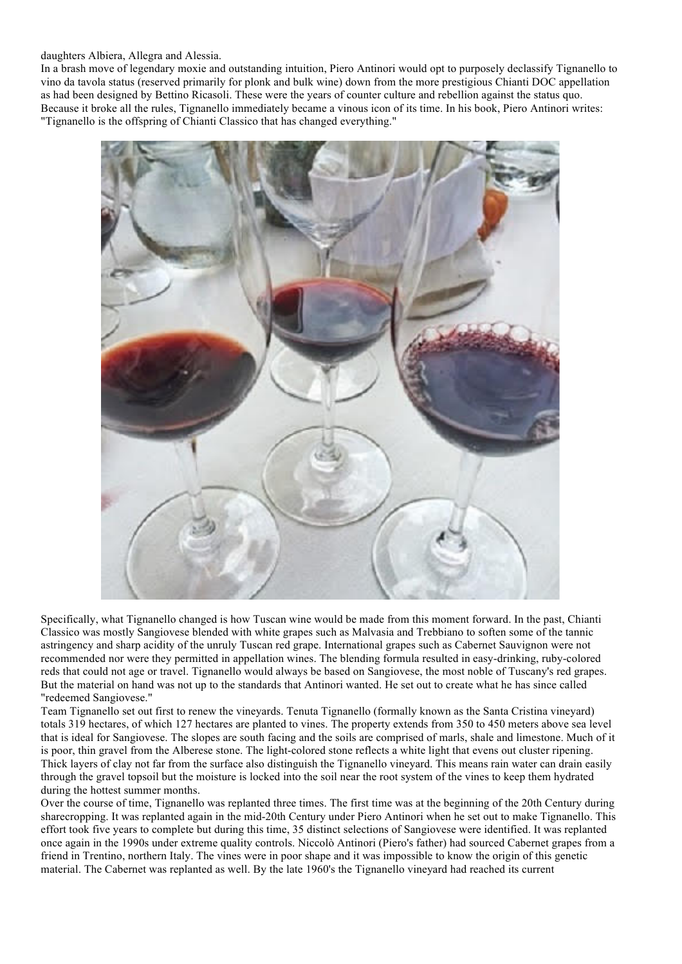## daughters Albiera, Allegra and Alessia.

In a brash move of legendary moxie and outstanding intuition, Piero Antinori would opt to purposely declassify Tignanello to vino da tavola status (reserved primarily for plonk and bulk wine) down from the more prestigious Chianti DOC appellation as had been designed by Bettino Ricasoli. These were the years of counter culture and rebellion against the status quo. Because it broke all the rules, Tignanello immediately became a vinous icon of its time. In his book, Piero Antinori writes: "Tignanello is the offspring of Chianti Classico that has changed everything."



Specifically, what Tignanello changed is how Tuscan wine would be made from this moment forward. In the past, Chianti Classico was mostly Sangiovese blended with white grapes such as Malvasia and Trebbiano to soften some of the tannic astringency and sharp acidity of the unruly Tuscan red grape. International grapes such as Cabernet Sauvignon were not recommended nor were they permitted in appellation wines. The blending formula resulted in easy-drinking, ruby-colored reds that could not age or travel. Tignanello would always be based on Sangiovese, the most noble of Tuscany's red grapes. But the material on hand was not up to the standards that Antinori wanted. He set out to create what he has since called "redeemed Sangiovese."

Team Tignanello set out first to renew the vineyards. Tenuta Tignanello (formally known as the Santa Cristina vineyard) totals 319 hectares, of which 127 hectares are planted to vines. The property extends from 350 to 450 meters above sea level that is ideal for Sangiovese. The slopes are south facing and the soils are comprised of marls, shale and limestone. Much of it is poor, thin gravel from the Alberese stone. The light-colored stone reflects a white light that evens out cluster ripening. Thick layers of clay not far from the surface also distinguish the Tignanello vineyard. This means rain water can drain easily through the gravel topsoil but the moisture is locked into the soil near the root system of the vines to keep them hydrated during the hottest summer months.

Over the course of time, Tignanello was replanted three times. The first time was at the beginning of the 20th Century during sharecropping. It was replanted again in the mid-20th Century under Piero Antinori when he set out to make Tignanello. This effort took five years to complete but during this time, 35 distinct selections of Sangiovese were identified. It was replanted once again in the 1990s under extreme quality controls. Niccolò Antinori (Piero's father) had sourced Cabernet grapes from a friend in Trentino, northern Italy. The vines were in poor shape and it was impossible to know the origin of this genetic material. The Cabernet was replanted as well. By the late 1960's the Tignanello vineyard had reached its current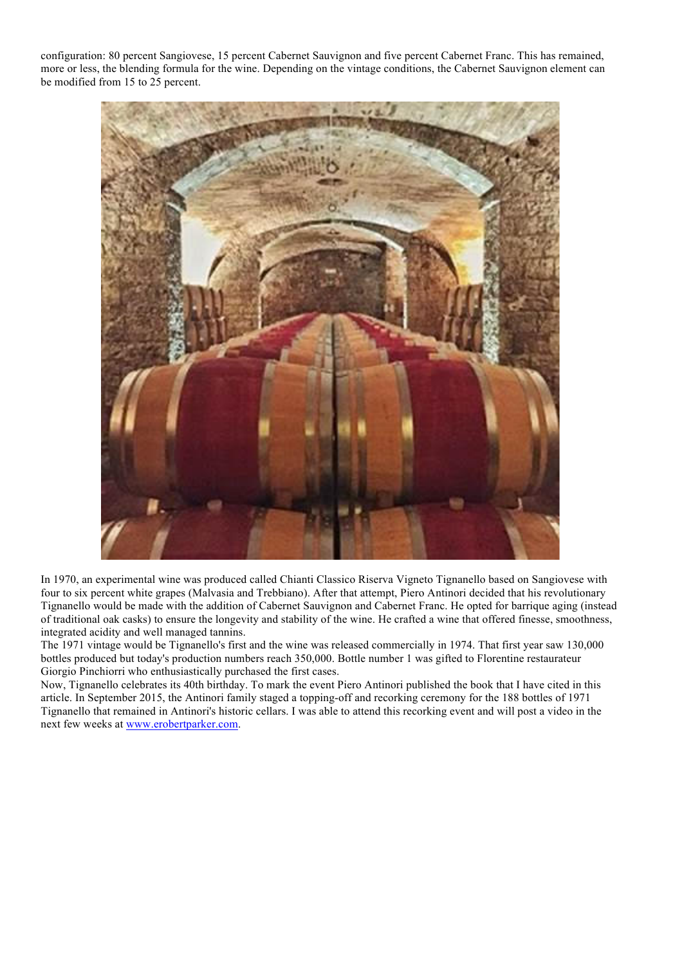configuration: 80 percent Sangiovese, 15 percent Cabernet Sauvignon and five percent Cabernet Franc. This has remained, more or less, the blending formula for the wine. Depending on the vintage conditions, the Cabernet Sauvignon element can be modified from 15 to 25 percent.



In 1970, an experimental wine was produced called Chianti Classico Riserva Vigneto Tignanello based on Sangiovese with four to six percent white grapes (Malvasia and Trebbiano). After that attempt, Piero Antinori decided that his revolutionary Tignanello would be made with the addition of Cabernet Sauvignon and Cabernet Franc. He opted for barrique aging (instead of traditional oak casks) to ensure the longevity and stability of the wine. He crafted a wine that offered finesse, smoothness, integrated acidity and well managed tannins.

The 1971 vintage would be Tignanello's first and the wine was released commercially in 1974. That first year saw 130,000 bottles produced but today's production numbers reach 350,000. Bottle number 1 was gifted to Florentine restaurateur Giorgio Pinchiorri who enthusiastically purchased the first cases.

Now, Tignanello celebrates its 40th birthday. To mark the event Piero Antinori published the book that I have cited in this article. In September 2015, the Antinori family staged a topping-off and recorking ceremony for the 188 bottles of 1971 Tignanello that remained in Antinori's historic cellars. I was able to attend this recorking event and will post a video in the next few weeks at www.erobertparker.com.